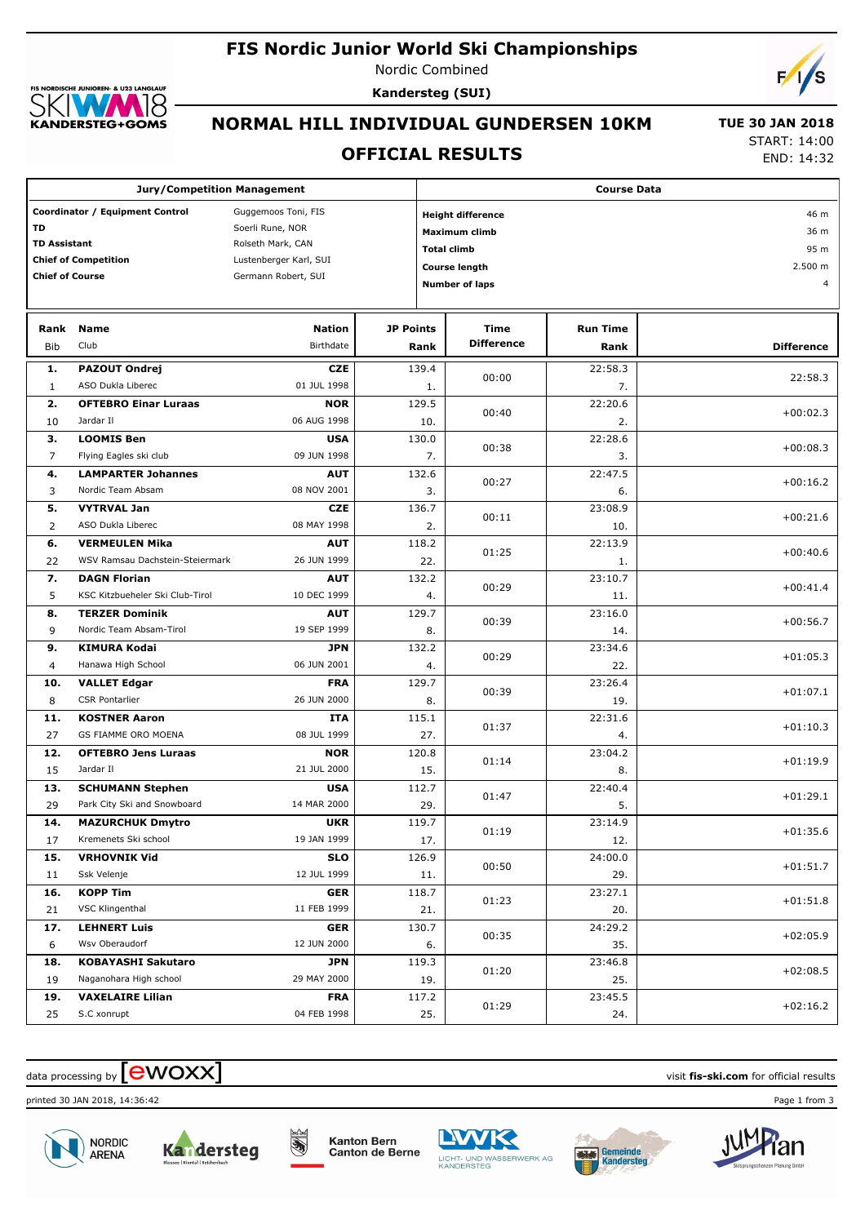#### **FIS Nordic Junior World Ski Championships**

Nordic Combined



**Kandersteg (SUI)**



# **NORMAL HILL INDIVIDUAL GUNDERSEN 10KM**

## **OFFICIAL RESULTS**

 **TUE 30 JAN 2018** START: 14:00

END: 14:32

| <b>Jury/Competition Management</b>                                                                                                                                                                                                            |                                                          |                            |                  |                                                                                                                                                                 | <b>Course Data</b>        |                         |                   |  |  |
|-----------------------------------------------------------------------------------------------------------------------------------------------------------------------------------------------------------------------------------------------|----------------------------------------------------------|----------------------------|------------------|-----------------------------------------------------------------------------------------------------------------------------------------------------------------|---------------------------|-------------------------|-------------------|--|--|
| Coordinator / Equipment Control<br>Guggemoos Toni, FIS<br><b>TD</b><br>Soerli Rune, NOR<br><b>TD Assistant</b><br>Rolseth Mark, CAN<br><b>Chief of Competition</b><br>Lustenberger Karl, SUI<br><b>Chief of Course</b><br>Germann Robert, SUI |                                                          |                            |                  | <b>Height difference</b><br>46 m<br><b>Maximum climb</b><br>36 m<br>95 m<br><b>Total climb</b><br>2.500 m<br><b>Course length</b><br><b>Number of laps</b><br>4 |                           |                         |                   |  |  |
| Rank<br>Bib                                                                                                                                                                                                                                   | Name<br>Club                                             | <b>Nation</b><br>Birthdate | <b>JP Points</b> | Rank                                                                                                                                                            | Time<br><b>Difference</b> | <b>Run Time</b><br>Rank | <b>Difference</b> |  |  |
| 1.<br>1                                                                                                                                                                                                                                       | <b>PAZOUT Ondrej</b><br>ASO Dukla Liberec                | <b>CZE</b><br>01 JUL 1998  |                  | 139.4<br>1.                                                                                                                                                     | 00:00                     | 22:58.3<br>7.           | 22:58.3           |  |  |
| 2.                                                                                                                                                                                                                                            | <b>OFTEBRO Einar Luraas</b>                              | <b>NOR</b>                 |                  | 129.5                                                                                                                                                           | 00:40                     | 22:20.6                 | $+00:02.3$        |  |  |
| 10<br>3.                                                                                                                                                                                                                                      | Jardar II<br><b>LOOMIS Ben</b>                           | 06 AUG 1998<br><b>USA</b>  |                  | 10.<br>130.0                                                                                                                                                    | 00:38                     | 2.<br>22:28.6           | $+00:08.3$        |  |  |
| 7<br>4.                                                                                                                                                                                                                                       | Flying Eagles ski club<br><b>LAMPARTER Johannes</b>      | 09 JUN 1998<br><b>AUT</b>  |                  | 7.<br>132.6                                                                                                                                                     | 00:27                     | 3.<br>22:47.5           | $+00:16.2$        |  |  |
| 3<br>5.                                                                                                                                                                                                                                       | Nordic Team Absam<br><b>VYTRVAL Jan</b>                  | 08 NOV 2001<br><b>CZE</b>  |                  | 3.<br>136.7                                                                                                                                                     | 00:11                     | 6.<br>23:08.9           | $+00:21.6$        |  |  |
| 2<br>6.                                                                                                                                                                                                                                       | ASO Dukla Liberec<br><b>VERMEULEN Mika</b>               | 08 MAY 1998<br><b>AUT</b>  |                  | 2.<br>118.2                                                                                                                                                     | 01:25                     | 10.<br>22:13.9          | $+00:40.6$        |  |  |
| 22<br>7.                                                                                                                                                                                                                                      | WSV Ramsau Dachstein-Steiermark<br><b>DAGN Florian</b>   | 26 JUN 1999<br><b>AUT</b>  |                  | 22.<br>132.2                                                                                                                                                    | 00:29                     | 1.<br>23:10.7           | $+00:41.4$        |  |  |
| 5<br>8.                                                                                                                                                                                                                                       | KSC Kitzbueheler Ski Club-Tirol<br><b>TERZER Dominik</b> | 10 DEC 1999<br><b>AUT</b>  |                  | 4.<br>129.7                                                                                                                                                     | 00:39                     | 11.<br>23:16.0          | $+00:56.7$        |  |  |
| 9<br>9.                                                                                                                                                                                                                                       | Nordic Team Absam-Tirol<br><b>KIMURA Kodai</b>           | 19 SEP 1999<br><b>JPN</b>  |                  | 8.<br>132.2                                                                                                                                                     | 00:29                     | 14.<br>23:34.6          | $+01:05.3$        |  |  |
| $\overline{4}$<br>10.                                                                                                                                                                                                                         | Hanawa High School<br><b>VALLET Edgar</b>                | 06 JUN 2001<br><b>FRA</b>  |                  | 4.<br>129.7                                                                                                                                                     | 00:39                     | 22.<br>23:26.4          | $+01:07.1$        |  |  |
| 8<br>11.                                                                                                                                                                                                                                      | <b>CSR Pontarlier</b><br><b>KOSTNER Aaron</b>            | 26 JUN 2000<br><b>ITA</b>  |                  | 8.<br>115.1                                                                                                                                                     | 01:37                     | 19.<br>22:31.6          | $+01:10.3$        |  |  |
| 27<br>12.                                                                                                                                                                                                                                     | GS FIAMME ORO MOENA<br><b>OFTEBRO Jens Luraas</b>        | 08 JUL 1999<br><b>NOR</b>  |                  | 27.<br>120.8                                                                                                                                                    | 01:14                     | 4.<br>23:04.2           | $+01:19.9$        |  |  |
| 15<br>13.                                                                                                                                                                                                                                     | Jardar II<br><b>SCHUMANN Stephen</b>                     | 21 JUL 2000<br><b>USA</b>  |                  | 15.<br>112.7                                                                                                                                                    |                           | 8.<br>22:40.4           |                   |  |  |
| 29<br>14.                                                                                                                                                                                                                                     | Park City Ski and Snowboard<br><b>MAZURCHUK Dmytro</b>   | 14 MAR 2000<br><b>UKR</b>  |                  | 29.<br>119.7                                                                                                                                                    | 01:47                     | 5.<br>23:14.9           | $+01:29.1$        |  |  |
| 17<br>15.                                                                                                                                                                                                                                     | Kremenets Ski school<br><b>VRHOVNIK Vid</b>              | 19 JAN 1999<br><b>SLO</b>  |                  | 17.<br>126.9                                                                                                                                                    | 01:19                     | 12.<br>24:00.0          | $+01:35.6$        |  |  |
| 11                                                                                                                                                                                                                                            | Ssk Velenje                                              | 12 JUL 1999                |                  | 11.                                                                                                                                                             | 00:50                     | 29.                     | $+01:51.7$        |  |  |
| 16.<br>21                                                                                                                                                                                                                                     | <b>KOPP Tim</b><br>VSC Klingenthal                       | <b>GER</b><br>11 FEB 1999  |                  | 118.7<br>21.                                                                                                                                                    | 01:23                     | 23:27.1<br>20.          | $+01:51.8$        |  |  |
| 17.<br>6                                                                                                                                                                                                                                      | <b>LEHNERT Luis</b><br>Wsv Oberaudorf                    | <b>GER</b><br>12 JUN 2000  |                  | 130.7<br>6.                                                                                                                                                     | 00:35                     | 24:29.2<br>35.          | $+02:05.9$        |  |  |
| 18.<br>19                                                                                                                                                                                                                                     | <b>KOBAYASHI Sakutaro</b><br>Naganohara High school      | <b>JPN</b><br>29 MAY 2000  |                  | 119.3<br>19.                                                                                                                                                    | 01:20                     | 23:46.8<br>25.          | $+02:08.5$        |  |  |
| 19.<br>25                                                                                                                                                                                                                                     | <b>VAXELAIRE Lilian</b><br>S.C xonrupt                   | <b>FRA</b><br>04 FEB 1998  |                  | 117.2<br>25.                                                                                                                                                    | 01:29                     | 23:45.5<br>24.          | $+02:16.2$        |  |  |

# $\alpha$  data processing by  $\boxed{\text{ewOX}}$

printed 30 JAN 2018, 14:36:42 Page 1 from 3





Kanton Bern<br>Canton de Berne

**Belad** 





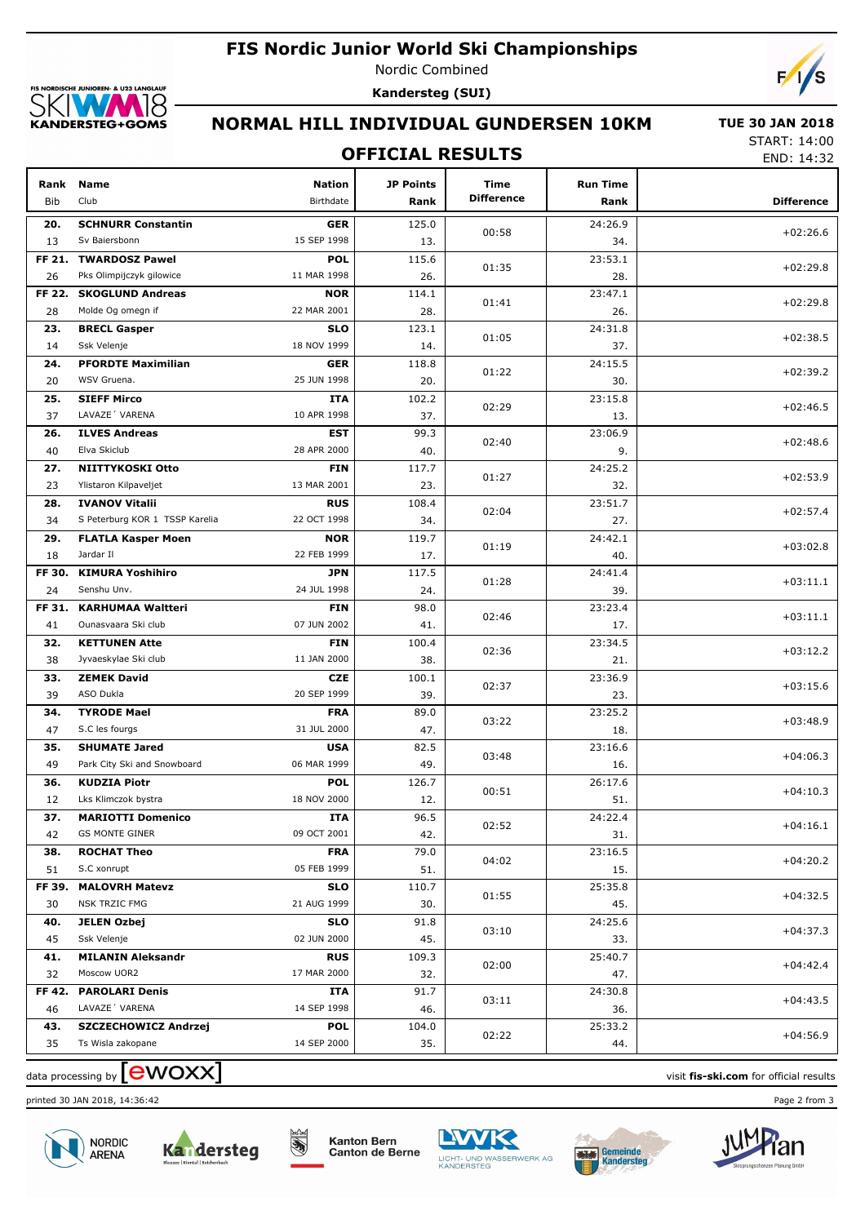



Nordic Combined **Kandersteg (SUI)**



## **NORMAL HILL INDIVIDUAL GUNDERSEN 10KM**

## **OFFICIAL RESULTS**

 **TUE 30 JAN 2018** START: 14:00

END: 14:32

| Rank<br><b>Bib</b> | <b>Name</b><br>Club                      | <b>Nation</b><br>Birthdate | JP Points<br>Rank | Time<br><b>Difference</b> | <b>Run Time</b><br>Rank | <b>Difference</b> |
|--------------------|------------------------------------------|----------------------------|-------------------|---------------------------|-------------------------|-------------------|
| 20.                | <b>SCHNURR Constantin</b>                | <b>GER</b>                 | 125.0             | 00:58                     | 24:26.9                 | $+02:26.6$        |
| 13                 | Sv Baiersbonn                            | 15 SEP 1998                | 13.               |                           | 34.                     |                   |
| FF 21.             | <b>TWARDOSZ Pawel</b>                    | <b>POL</b>                 | 115.6             | 01:35                     | 23:53.1                 | $+02:29.8$        |
| 26                 | Pks Olimpijczyk gilowice                 | 11 MAR 1998                | 26.               |                           | 28.                     |                   |
| FF 22.             | <b>SKOGLUND Andreas</b>                  | <b>NOR</b>                 | 114.1             | 01:41                     | 23:47.1                 | $+02:29.8$        |
| 28                 | Molde Og omegn if                        | 22 MAR 2001                | 28.               |                           | 26.                     |                   |
| 23.                | <b>BRECL Gasper</b>                      | <b>SLO</b>                 | 123.1             | 01:05                     | 24:31.8                 | $+02:38.5$        |
| 14                 | Ssk Velenje<br><b>PFORDTE Maximilian</b> | 18 NOV 1999                | 14.               |                           | 37.                     |                   |
| 24.                | WSV Gruena.                              | <b>GER</b><br>25 JUN 1998  | 118.8             | 01:22                     | 24:15.5                 | $+02:39.2$        |
| 20                 |                                          |                            | 20.<br>102.2      |                           | 30.                     |                   |
| 25.<br>37          | <b>SIEFF Mirco</b><br>LAVAZE 'VARENA     | ITA<br>10 APR 1998         | 37.               | 02:29                     | 23:15.8                 | $+02:46.5$        |
|                    |                                          |                            | 99.3              |                           | 13.                     |                   |
| 26.<br>40          | <b>ILVES Andreas</b><br>Elva Skiclub     | <b>EST</b><br>28 APR 2000  |                   | 02:40                     | 23:06.9                 | $+02:48.6$        |
|                    |                                          |                            | 40.               |                           | 9.                      |                   |
| 27.                | NIITTYKOSKI Otto                         | <b>FIN</b><br>13 MAR 2001  | 117.7             | 01:27                     | 24:25.2                 | $+02:53.9$        |
| 23                 | Ylistaron Kilpaveljet                    |                            | 23.               |                           | 32.                     |                   |
| 28.                | <b>IVANOV Vitalii</b>                    | <b>RUS</b><br>22 OCT 1998  | 108.4             | 02:04                     | 23:51.7                 | $+02:57.4$        |
| 34                 | S Peterburg KOR 1 TSSP Karelia           |                            | 34.               |                           | 27.                     |                   |
| 29.                | <b>FLATLA Kasper Moen</b><br>Jardar II   | <b>NOR</b><br>22 FEB 1999  | 119.7             | 01:19                     | 24:42.1                 | $+03:02.8$        |
| 18                 | <b>KIMURA Yoshihiro</b>                  |                            | 17.               |                           | 40.                     |                   |
| FF 30.<br>24       | Senshu Unv.                              | <b>JPN</b><br>24 JUL 1998  | 117.5             | 01:28                     | 24:41.4                 | $+03:11.1$        |
| FF 31.             | <b>KARHUMAA Waltteri</b>                 | <b>FIN</b>                 | 24.<br>98.0       |                           | 39.<br>23:23.4          |                   |
| 41                 | Ounasvaara Ski club                      | 07 JUN 2002                | 41.               | 02:46                     | 17.                     | $+03:11.1$        |
| 32.                | <b>KETTUNEN Atte</b>                     | <b>FIN</b>                 | 100.4             |                           | 23:34.5                 |                   |
| 38                 | Jyvaeskylae Ski club                     | 11 JAN 2000                | 38.               | 02:36                     | 21.                     | $+03:12.2$        |
| 33.                | <b>ZEMEK David</b>                       | <b>CZE</b>                 | 100.1             |                           | 23:36.9                 |                   |
| 39                 | ASO Dukla                                | 20 SEP 1999                | 39.               | 02:37                     | 23.                     | $+03:15.6$        |
| 34.                | <b>TYRODE Mael</b>                       | <b>FRA</b>                 | 89.0              |                           | 23:25.2                 |                   |
| 47                 | S.C les fourgs                           | 31 JUL 2000                | 47.               | 03:22                     | 18.                     | $+03:48.9$        |
| 35.                | <b>SHUMATE Jared</b>                     | <b>USA</b>                 | 82.5              |                           | 23:16.6                 |                   |
| 49                 | Park City Ski and Snowboard              | 06 MAR 1999                | 49.               | 03:48                     | 16.                     | $+04:06.3$        |
| 36.                | <b>KUDZIA Piotr</b>                      | <b>POL</b>                 | 126.7             |                           | 26:17.6                 |                   |
| 12                 | Lks Klimczok bystra                      | 18 NOV 2000                | 12.               | 00:51                     | 51.                     | $+04:10.3$        |
| 37.                | <b>MARIOTTI Domenico</b>                 | <b>ITA</b>                 | 96.5              |                           | 24:22.4                 |                   |
| 42                 | <b>GS MONTE GINER</b>                    | 09 OCT 2001                | 42.               | 02:52                     | 31.                     | $+04:16.1$        |
| 38.                | <b>ROCHAT Theo</b>                       | <b>FRA</b>                 | 79.0              |                           | 23:16.5                 |                   |
| 51                 | S.C xonrupt                              | 05 FEB 1999                | 51.               | 04:02                     | 15.                     | $+04:20.2$        |
| FF 39.             | <b>MALOVRH Matevz</b>                    | <b>SLO</b>                 | 110.7             |                           | 25:35.8                 |                   |
| 30                 | <b>NSK TRZIC FMG</b>                     | 21 AUG 1999                | 30.               | 01:55                     | 45.                     | +04:32.5          |
| 40.                | JELEN Ozbej                              | <b>SLO</b>                 | 91.8              |                           | 24:25.6                 |                   |
| 45                 | Ssk Velenje                              | 02 JUN 2000                | 45.               | 03:10                     | 33.                     | $+04:37.3$        |
| 41.                | <b>MILANIN Aleksandr</b>                 | <b>RUS</b>                 | 109.3             |                           | 25:40.7                 |                   |
| 32                 | Moscow UOR2                              | 17 MAR 2000                | 32.               | 02:00                     | 47.                     | $+04:42.4$        |
| FF 42.             | <b>PAROLARI Denis</b>                    | ITA                        | 91.7              |                           | 24:30.8                 |                   |
| 46                 | LAVAZE 'VARENA                           | 14 SEP 1998                | 46.               | 03:11                     | 36.                     | $+04:43.5$        |
| 43.                | <b>SZCZECHOWICZ Andrzej</b>              | <b>POL</b>                 | 104.0             |                           | 25:33.2                 |                   |
| 35                 | Ts Wisla zakopane                        | 14 SEP 2000                | 35.               | 02:22                     | 44.                     | $+04:56.9$        |
|                    |                                          |                            |                   |                           |                         |                   |

 $\alpha$  data processing by  $\boxed{\text{ewOX}}$ 

printed 30 JAN 2018, 14:36:42 Page 2 from 3





ें,